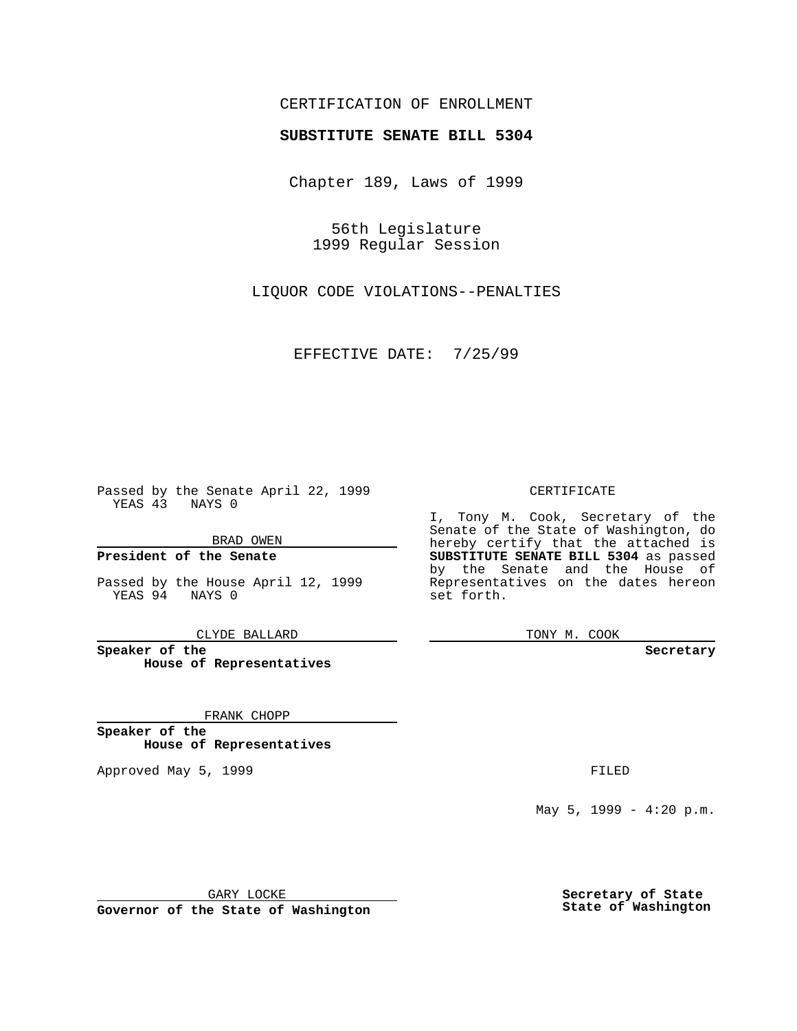# CERTIFICATION OF ENROLLMENT

# **SUBSTITUTE SENATE BILL 5304**

Chapter 189, Laws of 1999

56th Legislature 1999 Regular Session

LIQUOR CODE VIOLATIONS--PENALTIES

EFFECTIVE DATE: 7/25/99

Passed by the Senate April 22, 1999 YEAS 43 NAYS 0

BRAD OWEN

**President of the Senate**

Passed by the House April 12, 1999 YEAS 94 NAYS 0

CLYDE BALLARD

**Speaker of the House of Representatives**

FRANK CHOPP

**Speaker of the House of Representatives**

Approved May 5, 1999 **FILED** 

## CERTIFICATE

I, Tony M. Cook, Secretary of the Senate of the State of Washington, do hereby certify that the attached is **SUBSTITUTE SENATE BILL 5304** as passed by the Senate and the House of Representatives on the dates hereon set forth.

TONY M. COOK

#### **Secretary**

May 5, 1999 - 4:20 p.m.

GARY LOCKE

**Governor of the State of Washington**

**Secretary of State State of Washington**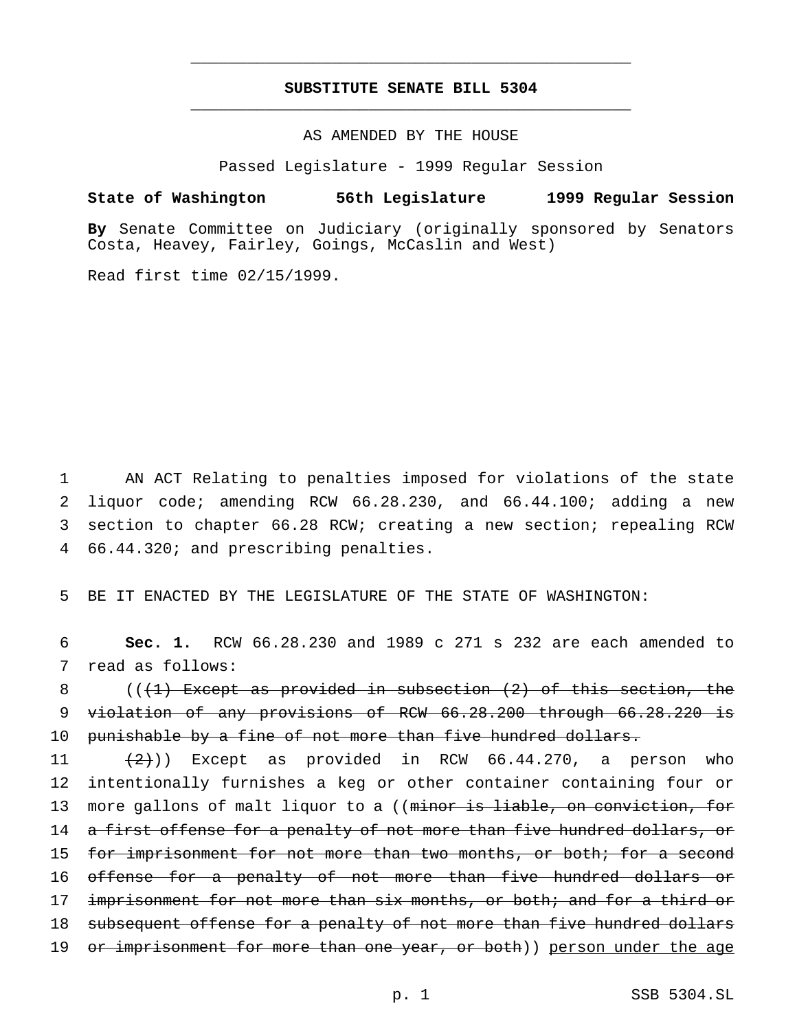# **SUBSTITUTE SENATE BILL 5304** \_\_\_\_\_\_\_\_\_\_\_\_\_\_\_\_\_\_\_\_\_\_\_\_\_\_\_\_\_\_\_\_\_\_\_\_\_\_\_\_\_\_\_\_\_\_\_

\_\_\_\_\_\_\_\_\_\_\_\_\_\_\_\_\_\_\_\_\_\_\_\_\_\_\_\_\_\_\_\_\_\_\_\_\_\_\_\_\_\_\_\_\_\_\_

AS AMENDED BY THE HOUSE

Passed Legislature - 1999 Regular Session

## **State of Washington 56th Legislature 1999 Regular Session**

**By** Senate Committee on Judiciary (originally sponsored by Senators Costa, Heavey, Fairley, Goings, McCaslin and West)

Read first time 02/15/1999.

 AN ACT Relating to penalties imposed for violations of the state liquor code; amending RCW 66.28.230, and 66.44.100; adding a new section to chapter 66.28 RCW; creating a new section; repealing RCW 66.44.320; and prescribing penalties.

5 BE IT ENACTED BY THE LEGISLATURE OF THE STATE OF WASHINGTON:

6 **Sec. 1.** RCW 66.28.230 and 1989 c 271 s 232 are each amended to 7 read as follows:

8 ( $($  ( $+1$ ) Except as provided in subsection  $(2)$  of this section, the 9 violation of any provisions of RCW 66.28.200 through 66.28.220 is 10 punishable by a fine of not more than five hundred dollars.

11  $(2)$ )) Except as provided in RCW 66.44.270, a person who 12 intentionally furnishes a keg or other container containing four or 13 more gallons of malt liquor to a ((minor is liable, on conviction, for 14 a first offense for a penalty of not more than five hundred dollars, or 15 for imprisonment for not more than two months, or both; for a second 16 offense for a penalty of not more than five hundred dollars or 17 imprisonment for not more than six months, or both; and for a third or 18 subsequent offense for a penalty of not more than five hundred dollars 19 or imprisonment for more than one year, or both)) person under the age